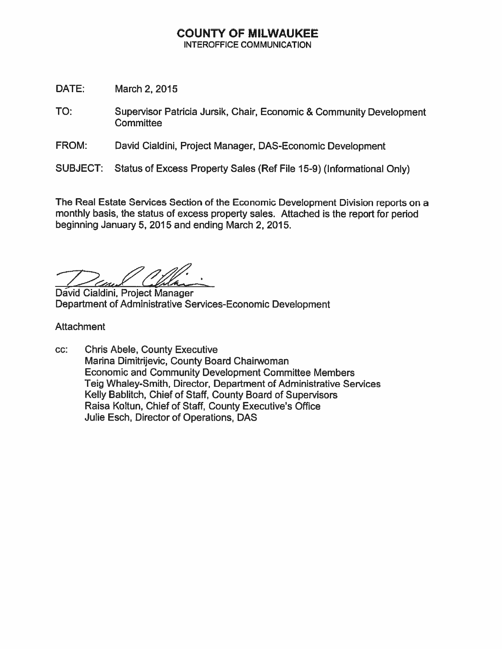### **COUNTY OF MILWAUKEE INTEROFFICE COMMUNICATION**

- DATE: March 2, 2015
- TO: Supervisor Patricia Jursik, Chair, Economic & Community Development Committee
- FROM: David Cialdini, Project Manager, DAS-Economic Development
- Status of Excess Property Sales (Ref File 15-9) (Informational Only) **SUBJECT:**

The Real Estate Services Section of the Economic Development Division reports on a monthly basis, the status of excess property sales. Attached is the report for period beginning January 5, 2015 and ending March 2, 2015.

David Cialdini, Project Manager Department of Administrative Services-Economic Development

Attachment

CC: **Chris Abele, County Executive** Marina Dimitrijevic, County Board Chairwoman **Economic and Community Development Committee Members** Teig Whaley-Smith, Director, Department of Administrative Services Kelly Bablitch, Chief of Staff, County Board of Supervisors Raisa Koltun, Chief of Staff, County Executive's Office Julie Esch, Director of Operations, DAS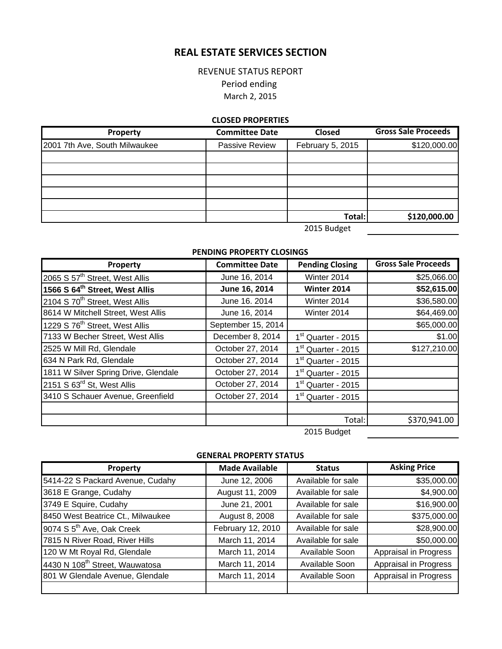# **REAL ESTATE SERVICES SECTION**

## REVENUE STATUS REPORT Period ending March 2, 2015

#### **CLOSED PROPERTIES**

| Property                      | <b>Committee Date</b> | <b>Closed</b>    | <b>Gross Sale Proceeds</b> |
|-------------------------------|-----------------------|------------------|----------------------------|
| 2001 7th Ave, South Milwaukee | Passive Review        | February 5, 2015 | \$120,000.00               |
|                               |                       |                  |                            |
|                               |                       |                  |                            |
|                               |                       |                  |                            |
|                               |                       |                  |                            |
|                               |                       |                  |                            |
|                               |                       | Total:           | \$120,000.00               |

2015 Budget

#### **PENDING PROPERTY CLOSINGS**

| Property                                   | <b>Committee Date</b> | <b>Pending Closing</b>         | <b>Gross Sale Proceeds</b> |
|--------------------------------------------|-----------------------|--------------------------------|----------------------------|
| 2065 S 57 <sup>th</sup> Street, West Allis | June 16, 2014         | Winter 2014                    | \$25,066.00                |
| 1566 S 64 <sup>th</sup> Street, West Allis | June 16, 2014         | Winter 2014                    | \$52,615.00                |
| 2104 S 70 <sup>th</sup> Street, West Allis | June 16. 2014         | Winter 2014                    | \$36,580.00                |
| 8614 W Mitchell Street, West Allis         | June 16, 2014         | Winter 2014                    | \$64,469.00                |
| 1229 S 76 <sup>th</sup> Street, West Allis | September 15, 2014    |                                | \$65,000.00                |
| 7133 W Becher Street, West Allis           | December 8, 2014      | 1 <sup>st</sup> Quarter - 2015 | \$1.00                     |
| 2525 W Mill Rd, Glendale                   | October 27, 2014      | 1 <sup>st</sup> Quarter - 2015 | \$127,210.00               |
| 634 N Park Rd, Glendale                    | October 27, 2014      | $1st$ Quarter - 2015           |                            |
| 1811 W Silver Spring Drive, Glendale       | October 27, 2014      | 1 <sup>st</sup> Quarter - 2015 |                            |
| 2151 S 63 <sup>rd</sup> St, West Allis     | October 27, 2014      | 1 <sup>st</sup> Quarter - 2015 |                            |
| 3410 S Schauer Avenue, Greenfield          | October 27, 2014      | 1 <sup>st</sup> Quarter - 2015 |                            |
|                                            |                       |                                |                            |
|                                            |                       | Total:                         | \$370,941.00               |
|                                            |                       | 2015 Budget                    |                            |

**GENERAL PROPERTY STATUS**

| Property                                   | <b>Made Available</b> | <b>Status</b>      | <b>Asking Price</b>   |
|--------------------------------------------|-----------------------|--------------------|-----------------------|
| 5414-22 S Packard Avenue, Cudahy           | June 12, 2006         | Available for sale | \$35,000.00           |
| 3618 E Grange, Cudahy                      | August 11, 2009       | Available for sale | \$4,900.00            |
| 3749 E Squire, Cudahy                      | June 21, 2001         | Available for sale | \$16,900.00           |
| 8450 West Beatrice Ct., Milwaukee          | August 8, 2008        | Available for sale | \$375,000.00          |
| 9074 S 5 <sup>th</sup> Ave, Oak Creek      | February 12, 2010     | Available for sale | \$28,900.00           |
| 7815 N River Road, River Hills             | March 11, 2014        | Available for sale | \$50,000.00           |
| 120 W Mt Royal Rd, Glendale                | March 11, 2014        | Available Soon     | Appraisal in Progress |
| 4430 N 108 <sup>th</sup> Street, Wauwatosa | March 11, 2014        | Available Soon     | Appraisal in Progress |
| 801 W Glendale Avenue, Glendale            | March 11, 2014        | Available Soon     | Appraisal in Progress |
|                                            |                       |                    |                       |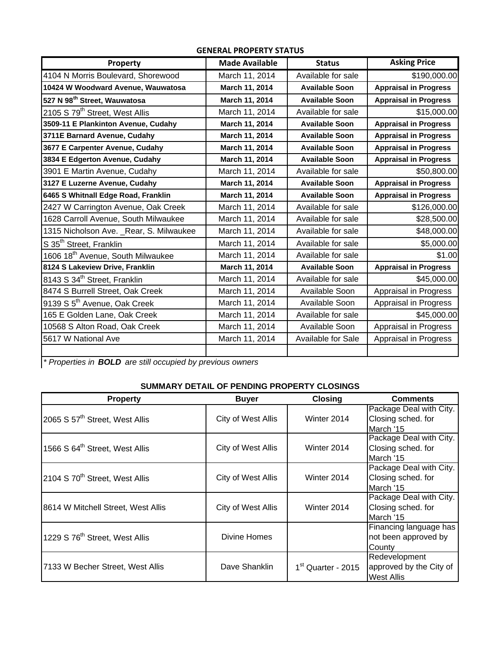| Property                                      | <b>Made Available</b> | <b>Status</b>         | <b>Asking Price</b>          |  |
|-----------------------------------------------|-----------------------|-----------------------|------------------------------|--|
| 4104 N Morris Boulevard, Shorewood            | March 11, 2014        | Available for sale    | \$190,000.00                 |  |
| 10424 W Woodward Avenue, Wauwatosa            | March 11, 2014        | <b>Available Soon</b> | <b>Appraisal in Progress</b> |  |
| 527 N 98 <sup>th</sup> Street, Wauwatosa      | March 11, 2014        | <b>Available Soon</b> | <b>Appraisal in Progress</b> |  |
| 2105 S 79 <sup>th</sup> Street, West Allis    | March 11, 2014        | Available for sale    | \$15,000.00                  |  |
| 3509-11 E Plankinton Avenue, Cudahy           | March 11, 2014        | <b>Available Soon</b> | <b>Appraisal in Progress</b> |  |
| 3711E Barnard Avenue, Cudahy                  | March 11, 2014        | <b>Available Soon</b> | <b>Appraisal in Progress</b> |  |
| 3677 E Carpenter Avenue, Cudahy               | March 11, 2014        | <b>Available Soon</b> | <b>Appraisal in Progress</b> |  |
| 3834 E Edgerton Avenue, Cudahy                | March 11, 2014        | <b>Available Soon</b> | <b>Appraisal in Progress</b> |  |
| 3901 E Martin Avenue, Cudahy                  | March 11, 2014        | Available for sale    | \$50,800.00                  |  |
| 3127 E Luzerne Avenue, Cudahy                 | March 11, 2014        | <b>Available Soon</b> | <b>Appraisal in Progress</b> |  |
| 6465 S Whitnall Edge Road, Franklin           | March 11, 2014        | <b>Available Soon</b> | <b>Appraisal in Progress</b> |  |
| 2427 W Carrington Avenue, Oak Creek           | March 11, 2014        | Available for sale    | \$126,000.00                 |  |
| 1628 Carroll Avenue, South Milwaukee          | March 11, 2014        | Available for sale    | \$28,500.00                  |  |
| 1315 Nicholson Ave. _Rear, S. Milwaukee       | March 11, 2014        | Available for sale    | \$48,000.00                  |  |
| S 35 <sup>th</sup> Street, Franklin           | March 11, 2014        | Available for sale    | \$5,000.00                   |  |
| 1606 18 <sup>th</sup> Avenue, South Milwaukee | March 11, 2014        | Available for sale    | \$1.00                       |  |
| 8124 S Lakeview Drive, Franklin               | March 11, 2014        | <b>Available Soon</b> | <b>Appraisal in Progress</b> |  |
| 8143 S 34 <sup>th</sup> Street, Franklin      | March 11, 2014        | Available for sale    | \$45,000.00                  |  |
| 8474 S Burrell Street, Oak Creek              | March 11, 2014        | Available Soon        | Appraisal in Progress        |  |
| 9139 S 5 <sup>th</sup> Avenue, Oak Creek      | March 11, 2014        | Available Soon        | Appraisal in Progress        |  |
| 165 E Golden Lane, Oak Creek                  | March 11, 2014        | Available for sale    | \$45,000.00                  |  |
| 10568 S Alton Road, Oak Creek                 | March 11, 2014        | Available Soon        | Appraisal in Progress        |  |
| 5617 W National Ave                           | March 11, 2014        | Available for Sale    | Appraisal in Progress        |  |
|                                               |                       |                       |                              |  |

**GENERAL PROPERTY STATUS**

*\* Properties in BOLD are still occupied by previous owners*

### **SUMMARY DETAIL OF PENDING PROPERTY CLOSINGS**

| <b>Property</b>                            | <b>Buyer</b>       | <b>Closing</b>                 | <b>Comments</b>         |
|--------------------------------------------|--------------------|--------------------------------|-------------------------|
|                                            |                    |                                | Package Deal with City. |
| 2065 S 57 <sup>th</sup> Street, West Allis | City of West Allis | Winter 2014                    | Closing sched. for      |
|                                            |                    |                                | March '15               |
|                                            | City of West Allis | Winter 2014                    | Package Deal with City. |
| 1566 S 64 <sup>th</sup> Street, West Allis |                    |                                | Closing sched. for      |
|                                            |                    |                                | March '15               |
|                                            |                    |                                | Package Deal with City. |
| 2104 S 70 <sup>th</sup> Street, West Allis | City of West Allis | Winter 2014                    | Closing sched. for      |
|                                            |                    |                                | March '15               |
|                                            | City of West Allis | Winter 2014                    | Package Deal with City. |
| 8614 W Mitchell Street, West Allis         |                    |                                | Closing sched. for      |
|                                            |                    |                                | March '15               |
| 1229 S 76 <sup>th</sup> Street, West Allis | Divine Homes       |                                | Financing language has  |
|                                            |                    |                                | not been approved by    |
|                                            |                    |                                | County                  |
| 7133 W Becher Street, West Allis           | Dave Shanklin      | 1 <sup>st</sup> Quarter - 2015 | Redevelopment           |
|                                            |                    |                                | approved by the City of |
|                                            |                    |                                | West Allis              |